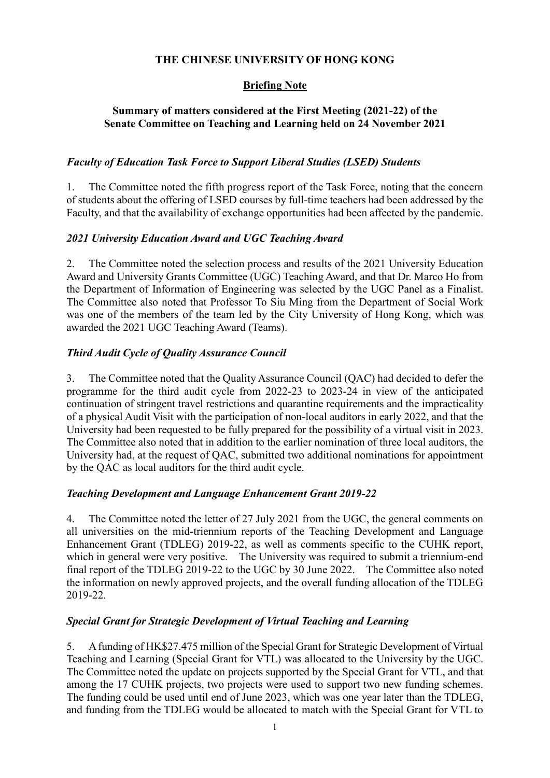# **THE CHINESE UNIVERSITY OF HONG KONG**

# **Briefing Note**

# **Summary of matters considered at the First Meeting (2021-22) of the Senate Committee on Teaching and Learning held on 24 November 2021**

#### *Faculty of Education Task Force to Support Liberal Studies (LSED) Students*

1. The Committee noted the fifth progress report of the Task Force, noting that the concern of students about the offering of LSED courses by full-time teachers had been addressed by the Faculty, and that the availability of exchange opportunities had been affected by the pandemic.

# *2021 University Education Award and UGC Teaching Award*

2. The Committee noted the selection process and results of the 2021 University Education Award and University Grants Committee (UGC) Teaching Award, and that Dr. Marco Ho from the Department of Information of Engineering was selected by the UGC Panel as a Finalist. The Committee also noted that Professor To Siu Ming from the Department of Social Work was one of the members of the team led by the City University of Hong Kong, which was awarded the 2021 UGC Teaching Award (Teams).

# *Third Audit Cycle of Quality Assurance Council*

3. The Committee noted that the Quality Assurance Council (QAC) had decided to defer the programme for the third audit cycle from 2022-23 to 2023-24 in view of the anticipated continuation of stringent travel restrictions and quarantine requirements and the impracticality of a physical Audit Visit with the participation of non-local auditors in early 2022, and that the University had been requested to be fully prepared for the possibility of a virtual visit in 2023. The Committee also noted that in addition to the earlier nomination of three local auditors, the University had, at the request of QAC, submitted two additional nominations for appointment by the QAC as local auditors for the third audit cycle.

#### *Teaching Development and Language Enhancement Grant 2019-22*

4. The Committee noted the letter of 27 July 2021 from the UGC, the general comments on all universities on the mid-triennium reports of the Teaching Development and Language Enhancement Grant (TDLEG) 2019-22, as well as comments specific to the CUHK report, which in general were very positive. The University was required to submit a triennium-end final report of the TDLEG 2019-22 to the UGC by 30 June 2022. The Committee also noted the information on newly approved projects, and the overall funding allocation of the TDLEG 2019-22.

#### *Special Grant for Strategic Development of Virtual Teaching and Learning*

5. A funding of HK\$27.475 million of the Special Grant for Strategic Development of Virtual Teaching and Learning (Special Grant for VTL) was allocated to the University by the UGC. The Committee noted the update on projects supported by the Special Grant for VTL, and that among the 17 CUHK projects, two projects were used to support two new funding schemes. The funding could be used until end of June 2023, which was one year later than the TDLEG, and funding from the TDLEG would be allocated to match with the Special Grant for VTL to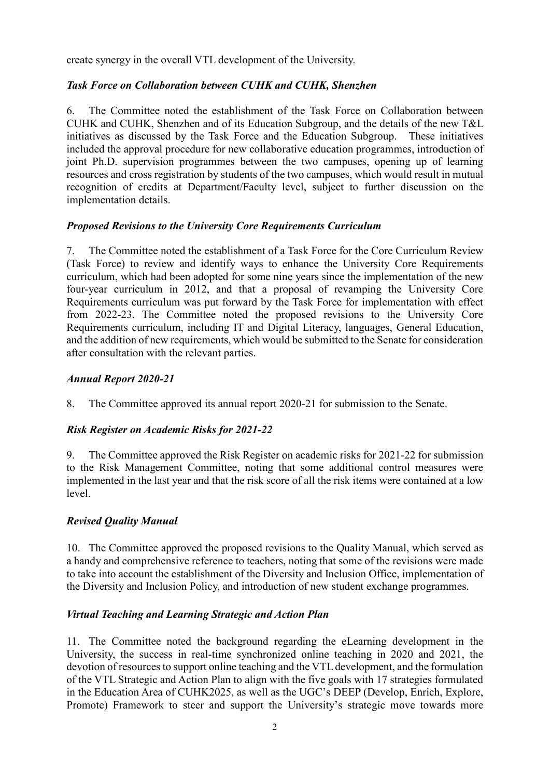create synergy in the overall VTL development of the University.

# *Task Force on Collaboration between CUHK and CUHK, Shenzhen*

6. The Committee noted the establishment of the Task Force on Collaboration between CUHK and CUHK, Shenzhen and of its Education Subgroup, and the details of the new T&L initiatives as discussed by the Task Force and the Education Subgroup. These initiatives included the approval procedure for new collaborative education programmes, introduction of joint Ph.D. supervision programmes between the two campuses, opening up of learning resources and cross registration by students of the two campuses, which would result in mutual recognition of credits at Department/Faculty level, subject to further discussion on the implementation details.

# *Proposed Revisions to the University Core Requirements Curriculum*

7. The Committee noted the establishment of a Task Force for the Core Curriculum Review (Task Force) to review and identify ways to enhance the University Core Requirements curriculum, which had been adopted for some nine years since the implementation of the new four-year curriculum in 2012, and that a proposal of revamping the University Core Requirements curriculum was put forward by the Task Force for implementation with effect from 2022-23. The Committee noted the proposed revisions to the University Core Requirements curriculum, including IT and Digital Literacy, languages, General Education, and the addition of new requirements, which would be submitted to the Senate for consideration after consultation with the relevant parties.

# *Annual Report 2020-21*

8. The Committee approved its annual report 2020-21 for submission to the Senate.

# *Risk Register on Academic Risks for 2021-22*

9. The Committee approved the Risk Register on academic risks for 2021-22 for submission to the Risk Management Committee, noting that some additional control measures were implemented in the last year and that the risk score of all the risk items were contained at a low level.

# *Revised Quality Manual*

10. The Committee approved the proposed revisions to the Quality Manual, which served as a handy and comprehensive reference to teachers, noting that some of the revisions were made to take into account the establishment of the Diversity and Inclusion Office, implementation of the Diversity and Inclusion Policy, and introduction of new student exchange programmes.

# *Virtual Teaching and Learning Strategic and Action Plan*

11. The Committee noted the background regarding the eLearning development in the University, the success in real-time synchronized online teaching in 2020 and 2021, the devotion of resources to support online teaching and the VTL development, and the formulation of the VTL Strategic and Action Plan to align with the five goals with 17 strategies formulated in the Education Area of CUHK2025, as well as the UGC's DEEP (Develop, Enrich, Explore, Promote) Framework to steer and support the University's strategic move towards more